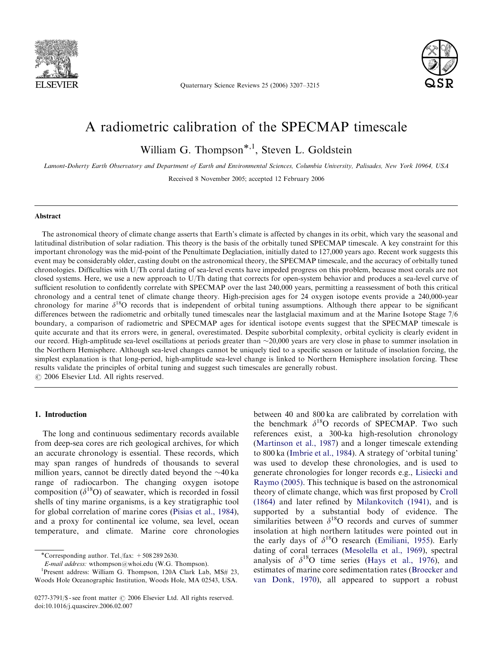

Quaternary Science Reviews 25 (2006) 3207–3215



# A radiometric calibration of the SPECMAP timescale

William G. Thompson<sup>\*,1</sup>, Steven L. Goldstein

Lamont-Doherty Earth Observatory and Department of Earth and Environmental Sciences, Columbia University, Palisades, New York 10964, USA

Received 8 November 2005; accepted 12 February 2006

#### Abstract

The astronomical theory of climate change asserts that Earth's climate is affected by changes in its orbit, which vary the seasonal and latitudinal distribution of solar radiation. This theory is the basis of the orbitally tuned SPECMAP timescale. A key constraint for this important chronology was the mid-point of the Penultimate Deglaciation, initially dated to 127,000 years ago. Recent work suggests this event may be considerably older, casting doubt on the astronomical theory, the SPECMAP timescale, and the accuracy of orbitally tuned chronologies. Difficulties with U/Th coral dating of sea-level events have impeded progress on this problem, because most corals are not closed systems. Here, we use a new approach to U/Th dating that corrects for open-system behavior and produces a sea-level curve of sufficient resolution to confidently correlate with SPECMAP over the last 240,000 years, permitting a reassessment of both this critical chronology and a central tenet of climate change theory. High-precision ages for 24 oxygen isotope events provide a 240,000-year chronology for marine  $\delta^{18}O$  records that is independent of orbital tuning assumptions. Although there appear to be significant differences between the radiometric and orbitally tuned timescales near the lastglacial maximum and at the Marine Isotope Stage 7/6 boundary, a comparison of radiometric and SPECMAP ages for identical isotope events suggest that the SPECMAP timescale is quite accurate and that its errors were, in general, overestimated. Despite suborbital complexity, orbital cyclicity is clearly evident in our record. High-amplitude sea-level oscillations at periods greater than  $\sim$ 20,000 years are very close in phase to summer insolation in the Northern Hemisphere. Although sea-level changes cannot be uniquely tied to a specific season or latitude of insolation forcing, the simplest explanation is that long-period, high-amplitude sea-level change is linked to Northern Hemisphere insolation forcing. These results validate the principles of orbital tuning and suggest such timescales are generally robust.  $\odot$  2006 Elsevier Ltd. All rights reserved.

#### 1. Introduction

The long and continuous sedimentary records available from deep-sea cores are rich geological archives, for which an accurate chronology is essential. These records, which may span ranges of hundreds of thousands to several million years, cannot be directly dated beyond the  $\sim$ 40 ka range of radiocarbon. The changing oxygen isotope composition ( $\delta^{18}$ O) of seawater, which is recorded in fossil shells of tiny marine organisms, is a key stratigraphic tool for global correlation of marine cores [\(Pisias et al., 1984\)](#page-8-0), and a proxy for continental ice volume, sea level, ocean temperature, and climate. Marine core chronologies

-Corresponding author. Tel./fax: +508 289 2630.

E-mail address: wthompson@whoi.edu (W.G. Thompson). <sup>1</sup>

<sup>1</sup>Present address: William G. Thompson, 120A Clark Lab, MS# 23, Woods Hole Oceanographic Institution, Woods Hole, MA 02543, USA.

between 40 and 800 ka are calibrated by correlation with the benchmark  $\delta^{18}O$  records of SPECMAP. Two such references exist, a 300-ka high-resolution chronology ([Martinson et al., 1987](#page-7-0)) and a longer timescale extending to 800 ka ([Imbrie et al., 1984](#page-7-0)). A strategy of 'orbital tuning' was used to develop these chronologies, and is used to generate chronologies for longer records e.g., [Lisiecki and](#page-7-0) [Raymo \(2005\)](#page-7-0). This technique is based on the astronomical theory of climate change, which was first proposed by [Croll](#page-7-0) [\(1864\)](#page-7-0) and later refined by [Milankovitch \(1941\)](#page-7-0), and is supported by a substantial body of evidence. The similarities between  $\delta^{18}$ O records and curves of summer insolation at high northern latitudes were pointed out in the early days of  $\delta^{18}O$  research ([Emiliani, 1955](#page-7-0)). Early dating of coral terraces [\(Mesolella et al., 1969\)](#page-7-0), spectral analysis of  $\delta^{18}O$  time series ([Hays et al., 1976\)](#page-7-0), and estimates of marine core sedimentation rates ([Broecker and](#page-7-0) [van Donk, 1970\)](#page-7-0), all appeared to support a robust

 $0277-3791/\$  - see front matter  $\odot$  2006 Elsevier Ltd. All rights reserved. doi:10.1016/j.quascirev.2006.02.007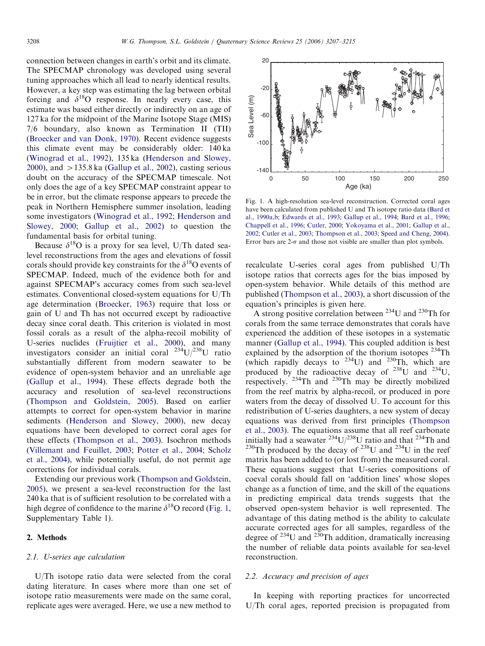<span id="page-1-0"></span>connection between changes in earth's orbit and its climate. The SPECMAP chronology was developed using several tuning approaches which all lead to nearly identical results. However, a key step was estimating the lag between orbital forcing and  $\delta^{18}$ O response. In nearly every case, this estimate was based either directly or indirectly on an age of 127 ka for the midpoint of the Marine Isotope Stage (MIS) 7/6 boundary, also known as Termination II (TII) [\(Broecker and van Donk, 1970](#page-7-0)). Recent evidence suggests this climate event may be considerably older: 140 ka [\(Winograd et al., 1992](#page-8-0)), 135 ka [\(Henderson and Slowey,](#page-7-0) [2000\)](#page-7-0), and  $>135.8$  ka [\(Gallup et al., 2002](#page-7-0)), casting serious doubt on the accuracy of the SPECMAP timescale. Not only does the age of a key SPECMAP constraint appear to be in error, but the climate response appears to precede the peak in Northern Hemisphere summer insolation, leading some investigators [\(Winograd et al., 1992;](#page-8-0) [Henderson and](#page-7-0) [Slowey, 2000;](#page-7-0) [Gallup et al., 2002](#page-7-0)) to question the fundamental basis for orbital tuning.

Because  $\delta^{18}O$  is a proxy for sea level, U/Th dated sealevel reconstructions from the ages and elevations of fossil corals should provide key constraints for the  $\delta^{18}$ O events of SPECMAP. Indeed, much of the evidence both for and against SPECMAP's accuracy comes from such sea-level estimates. Conventional closed-system equations for U/Th age determination ([Broecker, 1963](#page-7-0)) require that loss or gain of U and Th has not occurred except by radioactive decay since coral death. This criterion is violated in most fossil corals as a result of the alpha-recoil mobility of U-series nuclides [\(Fruijtier et al., 2000\)](#page-7-0), and many investigators consider an initial coral  $^{234}U/^{238}U$  ratio substantially different from modern seawater to be evidence of open-system behavior and an unreliable age [\(Gallup et al., 1994](#page-7-0)). These effects degrade both the accuracy and resolution of sea-level reconstructions [\(Thompson and Goldstein, 2005\)](#page-8-0). Based on earlier attempts to correct for open-system behavior in marine sediments ([Henderson and Slowey, 2000](#page-7-0)), new decay equations have been developed to correct coral ages for these effects ([Thompson et al., 2003](#page-8-0)). Isochron methods [\(Villemant and Feuillet, 2003;](#page-8-0) [Potter et al., 2004;](#page-8-0) [Scholz](#page-8-0) [et al., 2004](#page-8-0)), while potentially useful, do not permit age corrections for individual corals.

Extending our previous work [\(Thompson and Goldstein,](#page-8-0) [2005\)](#page-8-0), we present a sea-level reconstruction for the last 240 ka that is of sufficient resolution to be correlated with a high degree of confidence to the marine  $\delta^{18}$ O record (Fig. 1, Supplementary Table 1).

## 2. Methods

#### 2.1. U-series age calculation

U/Th isotope ratio data were selected from the coral dating literature. In cases where more than one set of isotope ratio measurements were made on the same coral, replicate ages were averaged. Here, we use a new method to



Fig. 1. A high-resolution sea-level reconstruction. Corrected coral ages have been calculated from published U and Th isotope ratio data ([Bard et](#page-7-0) [al., 1990a,b](#page-7-0); [Edwards et al., 1993;](#page-7-0) [Gallup et al., 1994;](#page-7-0) [Bard et al., 1996;](#page-7-0) [Chappell et al., 1996;](#page-7-0) [Cutler, 2000;](#page-7-0) [Yokoyama et al., 2001;](#page-8-0) [Gallup et al.,](#page-7-0) [2002;](#page-7-0) [Cutler et al., 2003;](#page-7-0) [Thompson et al., 2003;](#page-8-0) [Speed and Cheng, 2004\)](#page-8-0). Error bars are  $2-\sigma$  and those not visible are smaller than plot symbols.

recalculate U-series coral ages from published U/Th isotope ratios that corrects ages for the bias imposed by open-system behavior. While details of this method are published ([Thompson et al., 2003\)](#page-8-0), a short discussion of the equation's principles is given here.

A strong positive correlation between  $^{234}$ U and  $^{230}$ Th for corals from the same terrace demonstrates that corals have experienced the addition of these isotopes in a systematic manner [\(Gallup et al., 1994\)](#page-7-0). This coupled addition is best explained by the adsorption of the thorium isotopes  $^{234}$ Th (which rapidly decays to  $^{234}$ U) and  $^{230}$ Th, which are produced by the radioactive decay of  $^{238}$ U and  $^{234}$ U, respectively.  $234$ Th and  $230$ Th may be directly mobilized from the reef matrix by alpha-recoil, or produced in pore waters from the decay of dissolved U. To account for this redistribution of U-series daughters, a new system of decay equations was derived from first principles [\(Thompson](#page-8-0) [et al., 2003](#page-8-0)). The equations assume that all reef carbonate initially had a seawater  $^{234}$ U/ $^{238}$ U ratio and that  $^{234}$ Th and <sup>230</sup>Th produced by the decay of <sup>238</sup>U and <sup>234</sup>U in the reef matrix has been added to (or lost from) the measured coral. These equations suggest that U-series compositions of coeval corals should fall on 'addition lines' whose slopes change as a function of time, and the skill of the equations in predicting empirical data trends suggests that the observed open-system behavior is well represented. The advantage of this dating method is the ability to calculate accurate corrected ages for all samples, regardless of the degree of  $^{234}$ U and  $^{230}$ Th addition, dramatically increasing the number of reliable data points available for sea-level reconstruction.

## 2.2. Accuracy and precision of ages

In keeping with reporting practices for uncorrected U/Th coral ages, reported precision is propagated from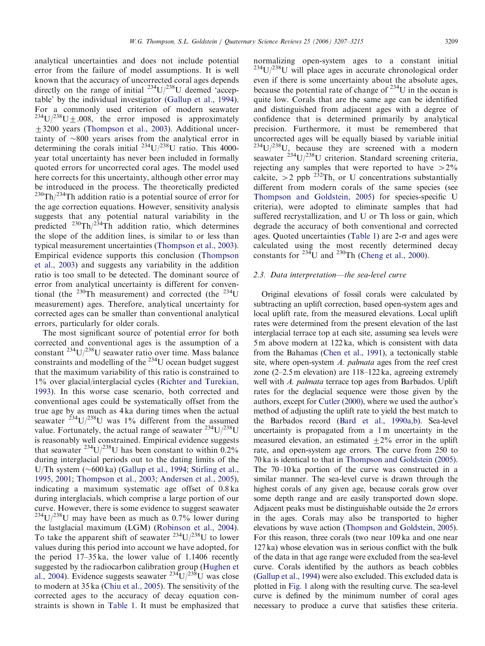analytical uncertainties and does not include potential error from the failure of model assumptions. It is well known that the accuracy of uncorrected coral ages depends directly on the range of initial  $^{234}U/^{238}U$  deemed 'acceptable' by the individual investigator ([Gallup et al., 1994\)](#page-7-0). For a commonly used criterion of modern seawater  $^{234}U^{238}U \pm .008$ , the error imposed is approximately +3200 years [\(Thompson et al., 2003\)](#page-8-0). Additional uncertainty of  $\sim 800$  years arises from the analytical error in determining the corals initial  $^{234}U/^{238}U$  ratio. This 4000year total uncertainty has never been included in formally quoted errors for uncorrected coral ages. The model used here corrects for this uncertainty, although other error may be introduced in the process. The theoretically predicted  $^{230}$ Th/<sup>234</sup>Th addition ratio is a potential source of error for the age correction equations. However, sensitivity analysis suggests that any potential natural variability in the predicted  $^{230}$ Th/<sup>234</sup>Th addition ratio, which determines the slope of the addition lines, is similar to or less than typical measurement uncertainties ([Thompson et al., 2003\)](#page-8-0). Empirical evidence supports this conclusion [\(Thompson](#page-8-0) [et al., 2003](#page-8-0)) and suggests any variability in the addition ratio is too small to be detected. The dominant source of error from analytical uncertainty is different for conventional (the  $^{230}$ Th measurement) and corrected (the  $^{234}$ U measurement) ages. Therefore, analytical uncertainty for corrected ages can be smaller than conventional analytical errors, particularly for older corals.

The most significant source of potential error for both corrected and conventional ages is the assumption of a constant  $^{234}$ U/ $^{238}$ U seawater ratio over time. Mass balance constraints and modelling of the  $^{234}$ U ocean budget suggest that the maximum variability of this ratio is constrained to 1% over glacial/interglacial cycles ([Richter and Turekian,](#page-8-0) [1993](#page-8-0)). In this worse case scenario, both corrected and conventional ages could be systematically offset from the true age by as much as 4 ka during times when the actual seawater  $^{234}$ U/<sup>238</sup>U was 1% different from the assumed value. Fortunately, the actual range of seawater  $^{234}U/^{238}U$ is reasonably well constrained. Empirical evidence suggests that seawater <sup>234</sup>U/<sup>238</sup>U has been constant to within  $0.2\%$ during interglacial periods out to the dating limits of the U/Th system  $(\sim 600 \text{ ka})$  [\(Gallup et al., 1994](#page-7-0); [Stirling et al.,](#page-8-0) [1995, 2001](#page-8-0); [Thompson et al., 2003;](#page-8-0) [Andersen et al., 2005\)](#page-7-0), indicating a maximum systematic age offset of 0.8 ka during interglacials, which comprise a large portion of our curve. However, there is some evidence to suggest seawater  $234U/238U$  may have been as much as 0.7% lower during the lastglacial maximum (LGM) [\(Robinson et al., 2004\)](#page-8-0). To take the apparent shift of seawater  $234$ U/ $238$ U to lower values during this period into account we have adopted, for the period 17–35 ka, the lower value of 1.1406 recently suggested by the radiocarbon calibration group [\(Hughen et](#page-7-0) [al., 2004\)](#page-7-0). Evidence suggests seawater  $^{234}U/^{238}U$  was close to modern at 35 ka ([Chiu et al., 2005\)](#page-7-0). The sensitivity of the corrected ages to the accuracy of decay equation constraints is shown in [Table 1.](#page-3-0) It must be emphasized that normalizing open-system ages to a constant initial  $234$ U/ $238$ U will place ages in accurate chronological order even if there is some uncertainty about the absolute ages, because the potential rate of change of  $^{234}$ U in the ocean is quite low. Corals that are the same age can be identified and distinguished from adjacent ages with a degree of confidence that is determined primarily by analytical precision. Furthermore, it must be remembered that uncorrected ages will be equally biased by variable initial  $234$ U/ $238$ U, because they are screened with a modern seawater  $^{234}U/^{238}U$  criterion. Standard screening criteria, rejecting any samples that were reported to have  $>2\%$ calcite,  $>$  2 ppb <sup>232</sup>Th, or U concentrations substantially different from modern corals of the same species (see [Thompson and Goldstein, 2005\)](#page-8-0) for species-specific U criteria), were adopted to eliminate samples that had suffered recrystallization, and U or Th loss or gain, which degrade the accuracy of both conventional and corrected ages. Quoted uncertainties ([Table 1\)](#page-3-0) are  $2-\sigma$  and ages were calculated using the most recently determined decay constants for  $^{234}$ U and  $^{230}$ Th [\(Cheng et al., 2000](#page-7-0)).

#### 2.3. Data interpretation—the sea-level curve

Original elevations of fossil corals were calculated by subtracting an uplift correction, based open-system ages and local uplift rate, from the measured elevations. Local uplift rates were determined from the present elevation of the last interglacial terrace top at each site, assuming sea levels were 5 m above modern at 122 ka, which is consistent with data from the Bahamas [\(Chen et al., 1991\)](#page-7-0), a tectonically stable site, where open-system A. palmata ages from the reef crest zone (2–2.5 m elevation) are 118–122 ka, agreeing extremely well with A. palmata terrace top ages from Barbados. Uplift rates for the deglacial sequence were those given by the authors, except for [Cutler \(2000\),](#page-7-0) where we used the author's method of adjusting the uplift rate to yield the best match to the Barbados record [\(Bard et al., 1990a,b\)](#page-7-0). Sea-level uncertainty is propagated from a 1 m uncertainty in the measured elevation, an estimated  $\pm 2\%$  error in the uplift rate, and open-system age errors. The curve from 250 to 70 ka is identical to that in [Thompson and Goldstein \(2005\).](#page-8-0) The 70–10 ka portion of the curve was constructed in a similar manner. The sea-level curve is drawn through the highest corals of any given age, because corals grow over some depth range and are easily transported down slope. Adjacent peaks must be distinguishable outside the  $2\sigma$  errors in the ages. Corals may also be transported to higher elevations by wave action ([Thompson and Goldstein, 2005\)](#page-8-0). For this reason, three corals (two near 109 ka and one near 127 ka) whose elevation was in serious conflict with the bulk of the data in that age range were excluded from the sea-level curve. Corals identified by the authors as beach cobbles ([Gallup et al., 1994\)](#page-7-0) were also excluded. This excluded data is plotted in [Fig. 1](#page-1-0) along with the resulting curve. The sea-level curve is defined by the minimum number of coral ages necessary to produce a curve that satisfies these criteria.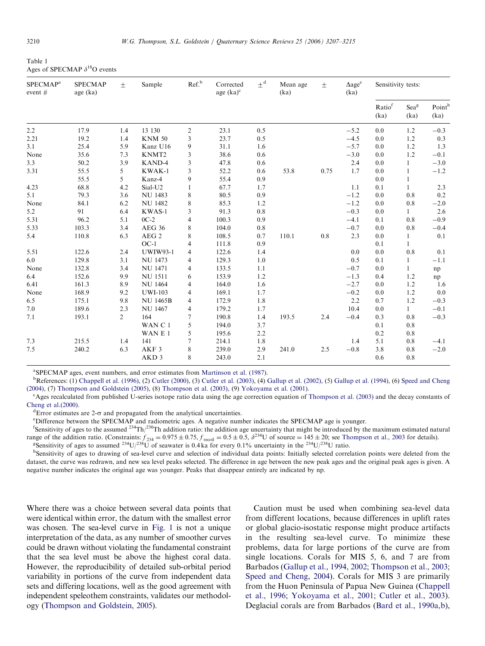<span id="page-3-0"></span>Table 1 Ages of SPECMAP  $\delta^{18}$ O events

| SPECMAP <sup>a</sup><br>event $#$ | <b>SPECMAP</b><br>age (ka) | $\pm$          | Sample           | Ref. <sup>b</sup> | Corrected<br>age $(ka)^c$ | $\pm$ <sup>d</sup> | Mean age<br>(ka) | $\pm$ | $\Delta$ age <sup>e</sup><br>(ka) | Sensitivity tests: |                          |               |
|-----------------------------------|----------------------------|----------------|------------------|-------------------|---------------------------|--------------------|------------------|-------|-----------------------------------|--------------------|--------------------------|---------------|
|                                   |                            |                |                  |                   |                           |                    |                  |       |                                   | Ratiof<br>(ka)     | Sea <sup>g</sup><br>(ka) | Point<br>(ka) |
| 2.2                               | 17.9                       | 1.4            | 13 130           | $\overline{c}$    | 23.1                      | 0.5                |                  |       | $-5.2$                            | 0.0                | 1.2                      | $-0.3$        |
| 2.21                              | 19.2                       | 1.4            | <b>KNM 50</b>    | 3                 | 23.7                      | 0.5                |                  |       | $-4.5$                            | 0.0                | 1.2                      | 0.3           |
| 3.1                               | 25.4                       | 5.9            | Kanz U16         | 9                 | 31.1                      | 1.6                |                  |       | $-5.7$                            | 0.0                | 1.2                      | 1.3           |
| None                              | 35.6                       | 7.3            | KNMT2            | 3                 | 38.6                      | 0.6                |                  |       | $-3.0$                            | 0.0                | 1.2                      | $-0.1$        |
| 3.3                               | 50.2                       | 3.9            | KAND-4           | 3                 | 47.8                      | 0.6                |                  |       | 2.4                               | 0.0                | 1                        | $-3.0$        |
| 3.31                              | 55.5                       | 5              | KWAK-1           | 3                 | 52.2                      | 0.6                | 53.8             | 0.75  | 1.7                               | 0.0                | 1                        | $-1.2$        |
|                                   | 55.5                       | 5              | Kanz-4           | 9                 | 55.4                      | 0.9                |                  |       |                                   | 0.0                | 1                        |               |
| 4.23                              | 68.8                       | 4.2            | Sial-U2          | 1                 | 67.7                      | 1.7                |                  |       | 1.1                               | 0.1                | 1                        | 2.3           |
| 5.1                               | 79.3                       | 3.6            | <b>NU 1483</b>   | 8                 | 80.5                      | 0.9                |                  |       | $-1.2$                            | 0.0                | 0.8                      | $0.2\,$       |
| None                              | 84.1                       | 6.2            | <b>NU 1482</b>   | 8                 | 85.3                      | 1.2                |                  |       | $-1.2$                            | 0.0                | 0.8                      | $-2.0$        |
| 5.2                               | 91                         | 6.4            | KWAS-1           | 3                 | 91.3                      | $0.8\,$            |                  |       | $-0.3$                            | 0.0                | $\mathbf{1}$             | 2.6           |
| 5.31                              | 96.2                       | 5.1            | $0C-2$           | 4                 | 100.3                     | 0.9                |                  |       | $-4.1$                            | 0.1                | 0.8                      | $-0.9$        |
| 5.33                              | 103.3                      | 3.4            | <b>AEG 36</b>    | 8                 | 104.0                     | 0.8                |                  |       | $-0.7$                            | 0.0                | 0.8                      | $-0.4$        |
| 5.4                               | 110.8                      | 6.3            | AEG <sub>2</sub> | 8                 | 108.5                     | 0.7                | 110.1            | 0.8   | 2.3                               | 0.0                | 1                        | 0.1           |
|                                   |                            |                | $OC-1$           | 4                 | 111.8                     | 0.9                |                  |       |                                   | 0.1                | 1                        |               |
| 5.51                              | 122.6                      | 2.4            | <b>UWIW93-1</b>  | 4                 | 122.6                     | 1.4                |                  |       | 0.0                               | 0.0                | 0.8                      | 0.1           |
| 6.0                               | 129.8                      | 3.1            | <b>NU 1473</b>   | 4                 | 129.3                     | 1.0                |                  |       | 0.5                               | 0.1                | 1                        | $-1.1$        |
| None                              | 132.8                      | 3.4            | <b>NU 1471</b>   | 4                 | 133.5                     | 1.1                |                  |       | $-0.7$                            | 0.0                | 1                        | np            |
| 6.4                               | 152.6                      | 9.9            | <b>NU 1511</b>   | 6                 | 153.9                     | 1.2                |                  |       | $-1.3$                            | 0.4                | 1.2                      | np            |
| 6.41                              | 161.3                      | 8.9            | <b>NU 1464</b>   | 4                 | 164.0                     | 1.6                |                  |       | $-2.7$                            | 0.0                | 1.2                      | 1.6           |
| None                              | 168.9                      | 9.2            | <b>UWI-103</b>   | 4                 | 169.1                     | 1.7                |                  |       | $-0.2$                            | 0.0                | 1.2                      | 0.0           |
| 6.5                               | 175.1                      | 9.8            | <b>NU 1465B</b>  | 4                 | 172.9                     | 1.8                |                  |       | 2.2                               | 0.7                | 1.2                      | $-0.3$        |
| 7.0                               | 189.6                      | 2.3            | <b>NU 1467</b>   | 4                 | 179.2                     | 1.7                |                  |       | 10.4                              | 0.0                | $\mathbf{1}$             | $-0.1$        |
| 7.1                               | 193.1                      | $\overline{2}$ | 164              | 7                 | 190.8                     | 1.4                | 193.5            | 2.4   | $-0.4$                            | 0.3                | 0.8                      | $-0.3$        |
|                                   |                            |                | WAN C 1          | 5                 | 194.0                     | 3.7                |                  |       |                                   | 0.1                | 0.8                      |               |
|                                   |                            |                | WAN E 1          | 5                 | 195.6                     | 2.2                |                  |       |                                   | 0.2                | 0.8                      |               |
| 7.3                               | 215.5                      | 1.4            | 141              | 7                 | 214.1                     | 1.8                |                  |       | 1.4                               | 5.1                | 0.8                      | $-4.1$        |
| 7.5                               | 240.2                      | 6.3            | AKF <sub>3</sub> | 8                 | 239.0                     | 2.9                | 241.0            | 2.5   | $-0.8$                            | 3.8                | 0.8                      | $-2.0$        |
|                                   |                            |                | AKD <sub>3</sub> | 8                 | 243.0                     | 2.1                |                  |       |                                   | 0.6                | 0.8                      |               |

<sup>a</sup>SPECMAP ages, event numbers, and error estimates from [Martinson et al. \(1987\)](#page-7-0).<br><sup>b</sup>P aferences: (1) Channell et al. (1996) (2) Cutler (2000) (3) Cutler et al. (2003) (4)

<sup>b</sup>References: (1) [Chappell et al. \(1996\)](#page-7-0), (2) [Cutler \(2000\),](#page-7-0) (3) [Cutler et al. \(2003\),](#page-7-0) (4) [Gallup et al. \(2002\),](#page-7-0) (5) [Gallup et al. \(1994\)](#page-7-0), (6) [Speed and Cheng](#page-8-0) [\(2004\),](#page-8-0) (7) [Thompson and Goldstein \(2005\),](#page-8-0) (8) [Thompson et al. \(2003\),](#page-8-0) (9) [Yokoyama et al. \(2001\).](#page-8-0)

<sup>c</sup>Ages recalculated from published U-series isotope ratio data using the age correction equation of [Thompson et al. \(2003\)](#page-8-0) and the decay constants of Cheng et al. $(2000)$ .

 ${}^{\text{d}}$ Error estimates are 2- $\sigma$  and propagated from the analytical uncertainties.

<sup>e</sup>Difference between the SPECMAP and radiometric ages. A negative number indicates the SPECMAP age is younger.

<sup>f</sup>Sensitivity of ages to the assumed <sup>234</sup>Th/<sup>230</sup>Th addition ratio: the addition age uncertainty that might be introduced by the maximum estimated natural range of the addition ratio. (Constraints:  $f_{234} = 0.975 \pm 0.75$ ,  $f_{\text{recoil}} = 0.5 \pm 0.5$ ,  $\delta^{234}U$  of source = 145  $\pm$  20; see [Thompson et al., 2003](#page-8-0) for details). Sensitivity of ages to assumed  $^{234}U/^{238}U$  of seawater is 0.4 ka for every 0.1% uncertainty in the  $^{234}U/^{238}U$  ratio.

<sup>h</sup>Sensitivity of ages to drawing of sea-level curve and selection of individual data points: Initially selected correlation points were deleted from the dataset, the curve was redrawn, and new sea level peaks selected. The difference in age between the new peak ages and the original peak ages is given. A negative number indicates the original age was younger. Peaks that disappear entirely are indicated by np.

Where there was a choice between several data points that were identical within error, the datum with the smallest error was chosen. The sea-level curve in [Fig. 1](#page-1-0) is not a unique interpretation of the data, as any number of smoother curves could be drawn without violating the fundamental constraint that the sea level must be above the highest coral data. However, the reproducibility of detailed sub-orbital period variability in portions of the curve from independent data sets and differing locations, well as the good agreement with independent speleothem constraints, validates our methodology [\(Thompson and Goldstein, 2005](#page-8-0)).

Caution must be used when combining sea-level data from different locations, because differences in uplift rates or global glacio-isostatic response might produce artifacts in the resulting sea-level curve. To minimize these problems, data for large portions of the curve are from single locations. Corals for MIS 5, 6, and 7 are from Barbados [\(Gallup et al., 1994, 2002;](#page-7-0) [Thompson et al., 2003](#page-8-0); [Speed and Cheng, 2004](#page-8-0)). Corals for MIS 3 are primarily from the Huon Peninsula of Papua New Guinea [\(Chappell](#page-7-0) [et al., 1996](#page-7-0); [Yokoyama et al., 2001](#page-8-0); [Cutler et al., 2003\)](#page-7-0). Deglacial corals are from Barbados ([Bard et al., 1990a,b\)](#page-7-0),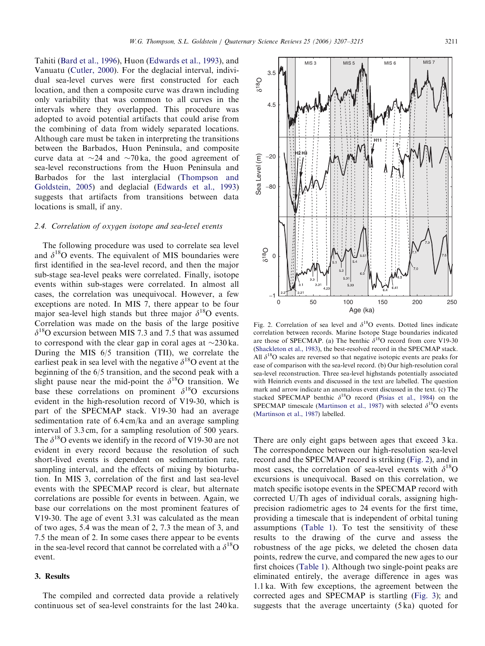<span id="page-4-0"></span>Tahiti [\(Bard et al., 1996\)](#page-7-0), Huon ([Edwards et al., 1993\)](#page-7-0), and Vanuatu ([Cutler, 2000\)](#page-7-0). For the deglacial interval, individual sea-level curves were first constructed for each location, and then a composite curve was drawn including only variability that was common to all curves in the intervals where they overlapped. This procedure was adopted to avoid potential artifacts that could arise from the combining of data from widely separated locations. Although care must be taken in interpreting the transitions between the Barbados, Huon Peninsula, and composite curve data at  $\sim$ 24 and  $\sim$ 70 ka, the good agreement of sea-level reconstructions from the Huon Peninsula and Barbados for the last interglacial ([Thompson and](#page-8-0) [Goldstein, 2005](#page-8-0)) and deglacial ([Edwards et al., 1993](#page-7-0)) suggests that artifacts from transitions between data locations is small, if any.

#### 2.4. Correlation of oxygen isotope and sea-level events

The following procedure was used to correlate sea level and  $\delta^{18}$ O events. The equivalent of MIS boundaries were first identified in the sea-level record, and then the major sub-stage sea-level peaks were correlated. Finally, isotope events within sub-stages were correlated. In almost all cases, the correlation was unequivocal. However, a few exceptions are noted. In MIS 7, there appear to be four major sea-level high stands but three major  $\delta^{18}$ O events. Correlation was made on the basis of the large positive  $\delta^{18}$ O excursion between MIS 7.3 and 7.5 that was assumed to correspond with the clear gap in coral ages at  $\sim$ 230 ka. During the MIS 6/5 transition (TII), we correlate the earliest peak in sea level with the negative  $\delta^{18}$ O event at the beginning of the 6/5 transition, and the second peak with a slight pause near the mid-point the  $\delta^{18}$ O transition. We base these correlations on prominent  $\delta^{18}$ O excursions evident in the high-resolution record of V19-30, which is part of the SPECMAP stack. V19-30 had an average sedimentation rate of 6.4 cm/ka and an average sampling interval of 3.3 cm, for a sampling resolution of 500 years. The  $\delta^{18}$ O events we identify in the record of V19-30 are not evident in every record because the resolution of such short-lived events is dependent on sedimentation rate, sampling interval, and the effects of mixing by bioturbation. In MIS 3, correlation of the first and last sea-level events with the SPECMAP record is clear, but alternate correlations are possible for events in between. Again, we base our correlations on the most prominent features of V19-30. The age of event 3.31 was calculated as the mean of two ages, 5.4 was the mean of 2, 7.3 the mean of 3, and 7.5 the mean of 2. In some cases there appear to be events in the sea-level record that cannot be correlated with a  $\delta^{18}O$ event.

# 3. Results

The compiled and corrected data provide a relatively continuous set of sea-level constraints for the last 240 ka. Fig. 2. Correlation of sea level and  $\delta^{18}O$  events. Dotted lines indicate correlation between records. Marine Isotope Stage boundaries indicated are those of SPECMAP. (a) The benthic  $\delta^{18}$ O record from core V19-30 [\(Shackleton et al., 1983\)](#page-8-0), the best-resolved record in the SPECMAP stack. All  $\delta^{18}$ O scales are reversed so that negative isotopic events are peaks for ease of comparison with the sea-level record. (b) Our high-resolution coral sea-level reconstruction. Three sea-level highstands potentially associated with Heinrich events and discussed in the text are labelled. The question mark and arrow indicate an anomalous event discussed in the text. (c) The stacked SPECMAP benthic  $\delta^{18}O$  record [\(Pisias et al., 1984](#page-8-0)) on the SPECMAP timescale ([Martinson et al., 1987\)](#page-7-0) with selected  $\delta^{18}O$  events [\(Martinson et al., 1987\)](#page-7-0) labelled.

There are only eight gaps between ages that exceed 3 ka. The correspondence between our high-resolution sea-level record and the SPECMAP record is striking (Fig. 2), and in most cases, the correlation of sea-level events with  $\delta^{18}$ O excursions is unequivocal. Based on this correlation, we match specific isotope events in the SPECMAP record with corrected U/Th ages of individual corals, assigning highprecision radiometric ages to 24 events for the first time, providing a timescale that is independent of orbital tuning assumptions [\(Table 1\)](#page-3-0). To test the sensitivity of these results to the drawing of the curve and assess the robustness of the age picks, we deleted the chosen data points, redrew the curve, and compared the new ages to our first choices [\(Table 1](#page-3-0)). Although two single-point peaks are eliminated entirely, the average difference in ages was 1.1 ka. With few exceptions, the agreement between the corrected ages and SPECMAP is startling ([Fig. 3\)](#page-5-0); and suggests that the average uncertainty (5 ka) quoted for



MIS3 | MIS5 | MIS6 | MIS7

4.5

3.5

δ18 O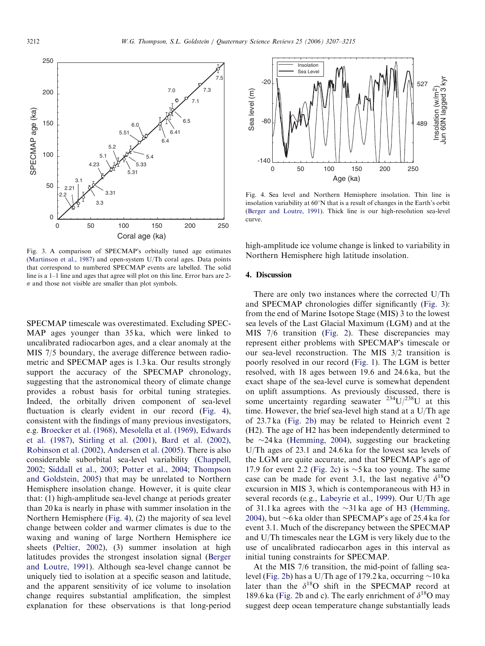<span id="page-5-0"></span>

Fig. 3. A comparison of SPECMAP's orbitally tuned age estimates [\(Martinson et al., 1987](#page-7-0)) and open-system U/Th coral ages. Data points that correspond to numbered SPECMAP events are labelled. The solid line is a 1–1 line and ages that agree will plot on this line. Error bars are 2-  $\sigma$  and those not visible are smaller than plot symbols.

SPECMAP timescale was overestimated. Excluding SPEC-MAP ages younger than 35 ka, which were linked to uncalibrated radiocarbon ages, and a clear anomaly at the MIS 7/5 boundary, the average difference between radiometric and SPECMAP ages is 1.3 ka. Our results strongly support the accuracy of the SPECMAP chronology, suggesting that the astronomical theory of climate change provides a robust basis for orbital tuning strategies. Indeed, the orbitally driven component of sea-level fluctuation is clearly evident in our record (Fig. 4), consistent with the findings of many previous investigators, e.g. [Broecker et al. \(1968\),](#page-7-0) [Mesolella et al. \(1969\),](#page-7-0) [Edwards](#page-7-0) [et al. \(1987\),](#page-7-0) [Stirling et al. \(2001\)](#page-8-0), [Bard et al. \(2002\)](#page-7-0), [Robinson et al. \(2002\),](#page-8-0) [Andersen et al. \(2005\)](#page-7-0). There is also considerable suborbital sea-level variability ([Chappell,](#page-7-0) [2002;](#page-7-0) [Siddall et al., 2003](#page-8-0); [Potter et al., 2004](#page-8-0); [Thompson](#page-8-0) [and Goldstein, 2005](#page-8-0)) that may be unrelated to Northern Hemisphere insolation change. However, it is quite clear that: (1) high-amplitude sea-level change at periods greater than 20 ka is nearly in phase with summer insolation in the Northern Hemisphere (Fig. 4), (2) the majority of sea level change between colder and warmer climates is due to the waxing and waning of large Northern Hemisphere ice sheets ([Peltier, 2002](#page-7-0)), (3) summer insolation at high latitudes provides the strongest insolation signal ([Berger](#page-7-0) [and Loutre, 1991\)](#page-7-0). Although sea-level change cannot be uniquely tied to isolation at a specific season and latitude, and the apparent sensitivity of ice volume to insolation change requires substantial amplification, the simplest explanation for these observations is that long-period



Fig. 4. Sea level and Northern Hemisphere insolation. Thin line is insolation variability at  $60^{\circ}$ N that is a result of changes in the Earth's orbit [\(Berger and Loutre, 1991\)](#page-7-0). Thick line is our high-resolution sea-level curve.

high-amplitude ice volume change is linked to variability in Northern Hemisphere high latitude insolation.

#### 4. Discussion

There are only two instances where the corrected U/Th and SPECMAP chronologies differ significantly (Fig. 3): from the end of Marine Isotope Stage (MIS) 3 to the lowest sea levels of the Last Glacial Maximum (LGM) and at the MIS 7/6 transition ([Fig. 2\)](#page-4-0). These discrepancies may represent either problems with SPECMAP's timescale or our sea-level reconstruction. The MIS 3/2 transition is poorly resolved in our record [\(Fig. 1\)](#page-1-0). The LGM is better resolved, with 18 ages between 19.6 and 24.6 ka, but the exact shape of the sea-level curve is somewhat dependent on uplift assumptions. As previously discussed, there is some uncertainty regarding seawater  $^{234}U/^{238}U$  at this time. However, the brief sea-level high stand at a U/Th age of 23.7 ka [\(Fig. 2b](#page-4-0)) may be related to Heinrich event 2 (H2). The age of H2 has been independently determined to be  $\sim$ 24 ka ([Hemming, 2004](#page-7-0)), suggesting our bracketing U/Th ages of 23.1 and 24.6 ka for the lowest sea levels of the LGM are quite accurate, and that SPECMAP's age of 17.9 for event 2.2 ([Fig. 2c\)](#page-4-0) is  $\sim$ 5 ka too young. The same case can be made for event 3.1, the last negative  $\delta^{18}$ O excursion in MIS 3, which is contemporaneous with H3 in several records (e.g., [Labeyrie et al., 1999](#page-7-0)). Our U/Th age of 31.1 ka agrees with the  $\sim$ 31 ka age of H3 ([Hemming,](#page-7-0) [2004\)](#page-7-0), but  $\sim$ 6 ka older than SPECMAP's age of 25.4 ka for event 3.1. Much of the discrepancy between the SPECMAP and U/Th timescales near the LGM is very likely due to the use of uncalibrated radiocarbon ages in this interval as initial tuning constraints for SPECMAP.

At the MIS 7/6 transition, the mid-point of falling sea-level [\(Fig. 2b](#page-4-0)) has a U/Th age of 179.2 ka, occurring  $\sim$  10 ka later than the  $\delta^{18}O$  shift in the SPECMAP record at 189.6 ka ([Fig. 2](#page-4-0)b and c). The early enrichment of  $\delta^{18}O$  may suggest deep ocean temperature change substantially leads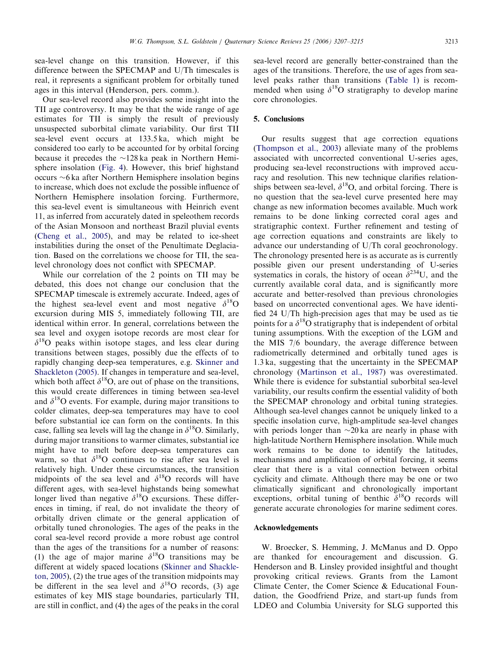sea-level change on this transition. However, if this difference between the SPECMAP and U/Th timescales is real, it represents a significant problem for orbitally tuned ages in this interval (Henderson, pers. comm.).

Our sea-level record also provides some insight into the TII age controversy. It may be that the wide range of age estimates for TII is simply the result of previously unsuspected suborbital climate variability. Our first TII sea-level event occurs at 133.5 ka, which might be considered too early to be accounted for by orbital forcing because it precedes the  $\sim$ 128 ka peak in Northern Hemisphere insolation ([Fig. 4](#page-5-0)). However, this brief highstand occurs -6 ka after Northern Hemisphere insolation begins to increase, which does not exclude the possible influence of Northern Hemisphere insolation forcing. Furthermore, this sea-level event is simultaneous with Heinrich event 11, as inferred from accurately dated in speleothem records of the Asian Monsoon and northeast Brazil pluvial events ([Cheng et al., 2005\)](#page-7-0), and may be related to ice-sheet instabilities during the onset of the Penultimate Deglaciation. Based on the correlations we choose for TII, the sealevel chronology does not conflict with SPECMAP.

While our correlation of the 2 points on TII may be debated, this does not change our conclusion that the SPECMAP timescale is extremely accurate. Indeed, ages of the highest sea-level event and most negative  $\delta^{18}$ O excursion during MIS 5, immediately following TII, are identical within error. In general, correlations between the sea level and oxygen isotope records are most clear for  $\delta^{18}$ O peaks within isotope stages, and less clear during transitions between stages, possibly due the effects of to rapidly changing deep-sea temperatures, e.g. [Skinner and](#page-8-0) [Shackleton \(2005\)](#page-8-0). If changes in temperature and sea-level, which both affect  $\delta^{18}O$ , are out of phase on the transitions, this would create differences in timing between sea-level and  $\delta^{18}$ O events. For example, during major transitions to colder climates, deep-sea temperatures may have to cool before substantial ice can form on the continents. In this case, falling sea levels will lag the change in  $\delta^{18}O$ . Similarly, during major transitions to warmer climates, substantial ice might have to melt before deep-sea temperatures can warm, so that  $\delta^{18}$ O continues to rise after sea level is relatively high. Under these circumstances, the transition midpoints of the sea level and  $\delta^{18}$ O records will have different ages, with sea-level highstands being somewhat longer lived than negative  $\delta^{18}$ O excursions. These differences in timing, if real, do not invalidate the theory of orbitally driven climate or the general application of orbitally tuned chronologies. The ages of the peaks in the coral sea-level record provide a more robust age control than the ages of the transitions for a number of reasons: (1) the age of major marine  $\delta^{18}$ O transitions may be different at widely spaced locations ([Skinner and Shackle](#page-8-0)[ton, 2005\)](#page-8-0), (2) the true ages of the transition midpoints may be different in the sea level and  $\delta^{18}$ O records, (3) age estimates of key MIS stage boundaries, particularly TII, are still in conflict, and (4) the ages of the peaks in the coral

sea-level record are generally better-constrained than the ages of the transitions. Therefore, the use of ages from sealevel peaks rather than transitions ([Table 1\)](#page-3-0) is recommended when using  $\delta^{18}$ O stratigraphy to develop marine core chronologies.

## 5. Conclusions

Our results suggest that age correction equations ([Thompson et al., 2003\)](#page-8-0) alleviate many of the problems associated with uncorrected conventional U-series ages, producing sea-level reconstructions with improved accuracy and resolution. This new technique clarifies relationships between sea-level,  $\delta^{18}O$ , and orbital forcing. There is no question that the sea-level curve presented here may change as new information becomes available. Much work remains to be done linking corrected coral ages and stratigraphic context. Further refinement and testing of age correction equations and constraints are likely to advance our understanding of U/Th coral geochronology. The chronology presented here is as accurate as is currently possible given our present understanding of U-series systematics in corals, the history of ocean  $\delta^{234}$ U, and the currently available coral data, and is significantly more accurate and better-resolved than previous chronologies based on uncorrected conventional ages. We have identified 24 U/Th high-precision ages that may be used as tie points for a  $\delta^{18}$ O stratigraphy that is independent of orbital tuning assumptions. With the exception of the LGM and the MIS 7/6 boundary, the average difference between radiometrically determined and orbitally tuned ages is 1.3 ka, suggesting that the uncertainty in the SPECMAP chronology ([Martinson et al., 1987](#page-7-0)) was overestimated. While there is evidence for substantial suborbital sea-level variability, our results confirm the essential validity of both the SPECMAP chronology and orbital tuning strategies. Although sea-level changes cannot be uniquely linked to a specific insolation curve, high-amplitude sea-level changes with periods longer than  $\sim$ 20 ka are nearly in phase with high-latitude Northern Hemisphere insolation. While much work remains to be done to identify the latitudes, mechanisms and amplification of orbital forcing, it seems clear that there is a vital connection between orbital cyclicity and climate. Although there may be one or two climatically significant and chronologically important exceptions, orbital tuning of benthic  $\delta^{18}$ O records will generate accurate chronologies for marine sediment cores.

# Acknowledgements

W. Broecker, S. Hemming, J. McManus and D. Oppo are thanked for encouragement and discussion. G. Henderson and B. Linsley provided insightful and thought provoking critical reviews. Grants from the Lamont Climate Center, the Comer Science & Educational Foundation, the Goodfriend Prize, and start-up funds from LDEO and Columbia University for SLG supported this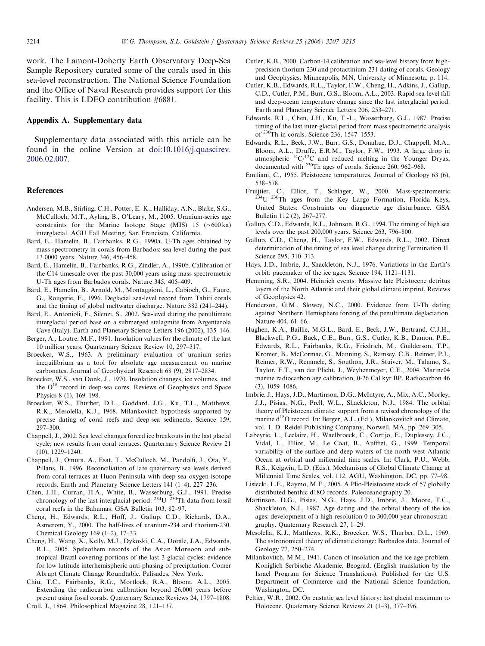<span id="page-7-0"></span>work. The Lamont-Doherty Earth Observatory Deep-Sea Sample Repository curated some of the corals used in this sea-level reconstruction. The National Science Foundation and the Office of Naval Research provides support for this facility. This is LDEO contribution #6881.

#### Appendix A. Supplementary data

Supplementary data associated with this article can be found in the online Version at [doi:10.1016/j.quascirev.](dx.doi.org/10.1016/j.quascirev.2006.02.007) [2006.02.007](dx.doi.org/10.1016/j.quascirev.2006.02.007).

#### References

- Andersen, M.B., Stirling, C.H., Potter, E.-K., Halliday, A.N., Blake, S.G., McCulloch, M.T., Ayling, B., O'Leary, M., 2005. Uranium-series age constraints for the Marine Isotope Stage (MIS)  $15 \left( \sim 600 \text{ ka} \right)$ interglacial. AGU Fall Meeting, San Francisco, California.
- Bard, E., Hamelin, B., Fairbanks, R.G., 1990a. U-Th ages obtained by mass spectrometry in corals from Barbados: sea level during the past 13.0000 years. Nature 346, 456–458.
- Bard, E., Hamelin, B., Fairbanks, R.G., Zindler, A., 1990b. Calibration of the C14 timescale over the past 30,000 years using mass spectrometric U-Th ages from Barbados corals. Nature 345, 405–409.
- Bard, E., Hamelin, B., Arnold, M., Montaggioni, L., Cabioch, G., Faure, G., Rougerie, F., 1996. Deglacial sea-level record from Tahiti corals and the timing of global meltwater discharge. Nature 382 (241–244).
- Bard, E., Antonioli, F., Silenzi, S., 2002. Sea-level during the penultimate interglacial period base on a submerged stalagmite from Argentarola Cave (Italy). Earth and Planetary Science Letters 196 (2002), 135–146.
- Berger, A., Loutre, M.F., 1991. Insolation values for the climate of the last 10 million years. Quarternary Science Review 10, 297–317.
- Broecker, W.S., 1963. A preliminary evaluation of uranium series inequilibrium as a tool for absolute age measurement on marine carbonates. Journal of Geophysical Research 68 (9), 2817–2834.
- Broecker, W.S., van Donk, J., 1970. Insolation changes, ice volumes, and the  $O^{18}$  record in deep-sea cores. Reviews of Geophysics and Space Physics 8 (1), 169–198.
- Broecker, W.S., Thurber, D.L., Goddard, J.G., Ku, T.L., Matthews, R.K., Mesolella, K.J., 1968. Milankovitch hypothesis supported by precise dating of coral reefs and deep-sea sediments. Science 159, 297–300.
- Chappell, J., 2002. Sea level changes forced ice breakouts in the last glacial cycle; new results from coral terraces. Quarternary Science Review 21 (10), 1229–1240.
- Chappell, J., Omura, A., Esat, T., McCulloch, M., Pandolfi, J., Ota, Y., Pillans, B., 1996. Reconciliation of late quaternary sea levels derived from coral terraces at Huon Peninsula with deep sea oxygen isotope records. Earth and Planetary Science Letters 141 (1–4), 227–236.
- Chen, J.H., Curran, H.A., White, B., Wasserburg, G.J., 1991. Precise chronology of the last interglacial period:  $^{234}U^{-230}Th$  data from fossil coral reefs in the Bahamas. GSA Bulletin 103, 82–97.
- Cheng, H., Edwards, R.L., Hoff, J., Gallup, C.D., Richards, D.A., Asmerom, Y., 2000. The half-lives of uranium-234 and thorium-230. Chemical Geology 169 (1–2), 17–33.
- Cheng, H., Wang, X., Kelly, M.J., Dykoski, C.A., Dorale, J.A., Edwards, R.L., 2005. Speleothem records of the Asian Monsoon and subtropical Brazil covering portions of the last 3 glacial cycles: evidence for low latitude interhemispheric anti-phasing of precipitation. Comer Abrupt Climate Change Roundtable. Palisades, New York.
- Chiu, T.C., Fairbanks, R.G., Mortlock, R.A., Bloom, A.L., 2005. Extending the radiocarbon calibration beyond 26,000 years before present using fossil corals. Quaternary Science Reviews 24, 1797–1808. Croll, J., 1864. Philosophical Magazine 28, 121–137.
- Cutler, K.B., 2000. Carbon-14 calibration and sea-level history from highprecision thorium-230 and protactinium-231 dating of corals. Geology and Geophysics. Minneapolis, MN, University of Minnesota, p. 114.
- Cutler, K.B., Edwards, R.L., Taylor, F.W., Cheng, H., Adkins, J., Gallup, C.D., Cutler, P.M., Burr, G.S., Bloom, A.L., 2003. Rapid sea-level fall and deep-ocean temperature change since the last interglacial period. Earth and Planetary Science Letters 206, 253–271.
- Edwards, R.L., Chen, J.H., Ku, T.-L., Wasserburg, G.J., 1987. Precise timing of the last inter-glacial period from mass spectrometric analysis of 230Th in corals. Science 236, 1547–1553.
- Edwards, R.L., Beck, J.W., Burr, G.S., Donahue, D.J., Chappell, M.A., Bloom, A.L., Druffe, E.R.M., Taylor, F.W., 1993. A large drop in atmospheric  $^{14}C/^{12}C$  and reduced melting in the Younger Dryas, documented with 230Th ages of corals. Science 260, 962–968.
- Emiliani, C., 1955. Pleistocene temperatures. Journal of Geology 63 (6), 538–578.
- Fruijtier, C., Elliot, T., Schlager, W., 2000. Mass-spectrometric  $2^{34}U-2^{30}Th$  ages from the Key Largo Formation, Florida Keys, United States: Constraints on diagenetic age disturbance. GSA Bulletin 112 (2), 267–277.
- Gallup, C.D., Edwards, R.L., Johnson, R.G., 1994. The timing of high sea levels over the past 200,000 years. Science 263, 796–800.
- Gallup, C.D., Cheng, H., Taylor, F.W., Edwards, R.L., 2002. Direct determination of the timing of sea level change during Termination II. Science 295, 310–313.
- Hays, J.D., Imbrie, J., Shackleton, N.J., 1976. Variations in the Earth's orbit: pacemaker of the ice ages. Science 194, 1121–1131.
- Hemming, S.R., 2004. Heinrich events: Massive late Pleistocene detritus layers of the North Atlantic and their global climate imprint. Reviews of Geophysics 42.
- Henderson, G.M., Slowey, N.C., 2000. Evidence from U-Th dating against Northern Hemisphere forcing of the penultimate deglaciation. Nature 404, 61–66.
- Hughen, K.A., Baillie, M.G.L., Bard, E., Beck, J.W., Bertrand, C.J.H., Blackwell, P.G., Buck, C.E., Burr, G.S., Cutler, K.B., Damon, P.E., Edwards, R.L., Fairbanks, R.G., Friedrich, M., Guilderson, T.P., Kromer, B., McCormac, G., Manning, S., Ramsey, C.B., Reimer, P.J., Reimer, R.W., Remmele, S., Southon, J.R., Stuiver, M., Talamo, S., Taylor, F.T., van der Plicht, J., Weyhenmeyer, C.E., 2004. Marine04 marine radiocarbon age calibration, 0-26 Cal kyr BP. Radiocarbon 46 (3), 1059–1086.
- Imbrie, J., Hays, J.D., Martinson, D.G., McIntyre, A., Mix, A.C., Morley, J.J., Pisias, N.G., Prell, W.L., Shackleton, N.J., 1984. The orbital theory of Pleistocene climate: support from a revised chronology of the marine  $d^{18}O$  record. In: Berger, A.L. (Ed.), Milankovitch and Climate, vol. 1. D. Reidel Publishing Company, Norwell, MA, pp. 269–305.
- Labeyrie, L., Leclaire, H., Waelbroeck, C., Cortijo, E., Duplessey, J.C., Vidal, L., Elliot, M., Le Coat, B., Auffret, G., 1999. Temporal variability of the surface and deep waters of the north west Atlantic Ocean at orbital and millennial time scales. In: Clark, P.U., Webb, R.S., Keigwin, L.D. (Eds.), Mechanisms of Global Climate Change at Millennial Time Scales, vol. 112. AGU, Washington, DC, pp. 77–98.
- Lisiecki, L.E., Raymo, M.E., 2005. A Plio-Pleistocene stack of 57 globally distributed benthic d18O records. Paleoceanography 20.
- Martinson, D.G., Pisias, N.G., Hays, J.D., Imbrie, J., Moore, T.C., Shackleton, N.J., 1987. Age dating and the orbital theory of the ice ages: development of a high-resolution 0 to 300,000-year chronostratigraphy. Quaternary Research 27, 1–29.
- Mesolella, K.J., Matthews, R.K., Broecker, W.S., Thurber, D.L., 1969. The astronomical theory of climatic change: Barbados data. Journal of Geology 77, 250–274.
- Milankovitch, M.M., 1941. Canon of insolation and the ice age problem. Koniglich Serbische Akademie, Beograd. (English translation by the Israel Program for Science Translations). Published for the U.S. Department of Commerce and the National Science foundation, Washington, DC.
- Peltier, W.R., 2002. On eustatic sea level history: last glacial maximum to Holocene. Quaternary Science Reviews 21 (1–3), 377–396.